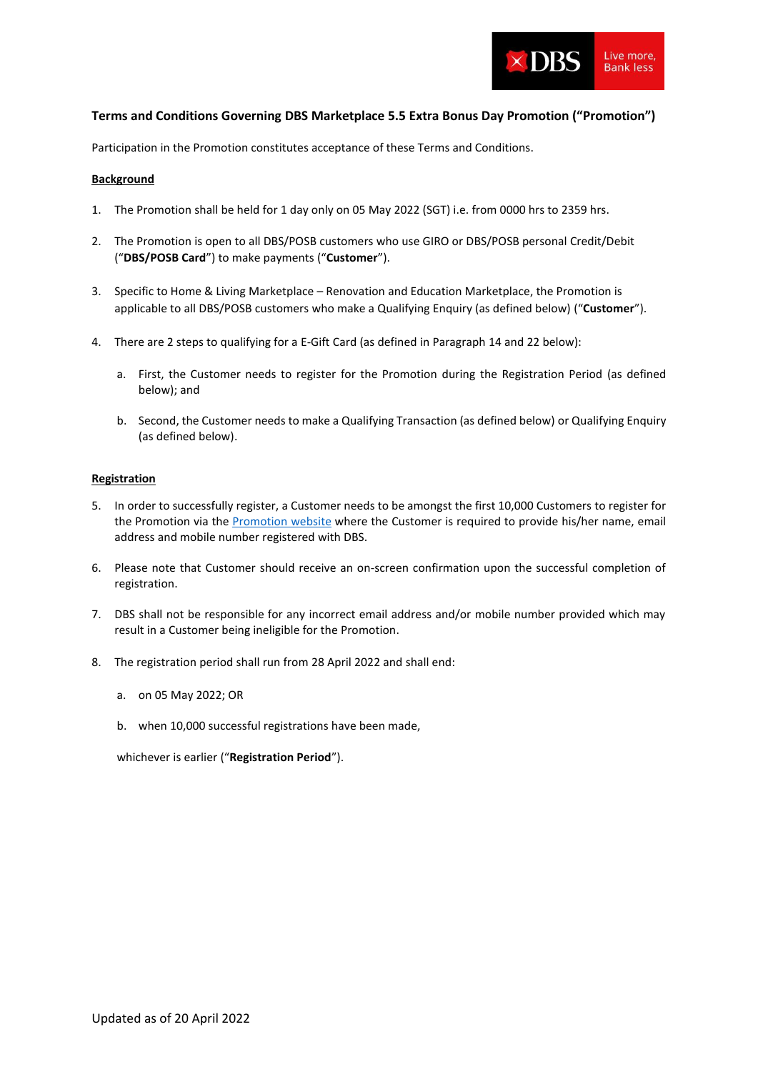

## **Terms and Conditions Governing DBS Marketplace 5.5 Extra Bonus Day Promotion ("Promotion")**

Participation in the Promotion constitutes acceptance of these Terms and Conditions.

### **Background**

- 1. The Promotion shall be held for 1 day only on 05 May 2022 (SGT) i.e. from 0000 hrs to 2359 hrs.
- 2. The Promotion is open to all DBS/POSB customers who use GIRO or DBS/POSB personal Credit/Debit ("**DBS/POSB Card**") to make payments ("**Customer**").
- 3. Specific to Home & Living Marketplace Renovation and Education Marketplace, the Promotion is applicable to all DBS/POSB customers who make a Qualifying Enquiry (as defined below) ("**Customer**").
- 4. There are 2 steps to qualifying for a E-Gift Card (as defined in Paragraph 14 and 22 below):
	- a. First, the Customer needs to register for the Promotion during the Registration Period (as defined below); and
	- b. Second, the Customer needs to make a Qualifying Transaction (as defined below) or Qualifying Enquiry (as defined below).

### **Registration**

- 5. In order to successfully register, a Customer needs to be amongst the first 10,000 Customers to register for th[e Promotion](https://www.dbs.com.sg/Contact/dbs/marketplace/extra-bonus-day-pre-registration/default.page?pid=sg-dbs-pweb-marketplace-extrabonusday-55-tncs-registration) via the Promotion website where the Customer is required to provide his/her name, email address and mobile number registered with DBS.
- 6. Please note that Customer should receive an on-screen confirmation upon the successful completion of registration.
- 7. DBS shall not be responsible for any incorrect email address and/or mobile number provided which may result in a Customer being ineligible for the Promotion.
- 8. The registration period shall run from 28 April 2022 and shall end:
	- a. on 05 May 2022; OR
	- b. when 10,000 successful registrations have been made,

whichever is earlier ("**Registration Period**").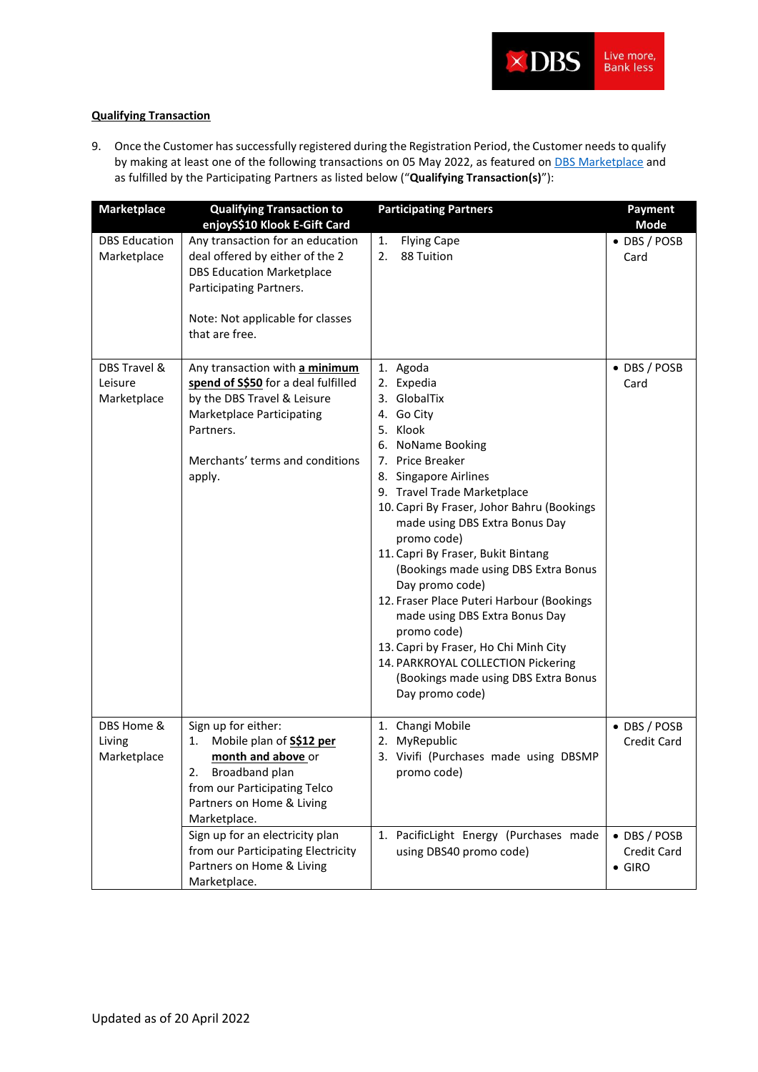

# **Qualifying Transaction**

9. Once the Customer has successfully registered during the Registration Period, the Customer needs to qualify by making at least one of the following transactions on 05 May 2022, as featured on [DBS Marketplace](https://www.dbs.com.sg/personal/dbsmarketplacesextrabonusday.page?pid=sg-dbs-pweb-marketplace-extrabonusday-55-tncs-MPEBD) and as fulfilled by the Participating Partners as listed below ("**Qualifying Transaction(s)**"):

| <b>Marketplace</b>                     | <b>Qualifying Transaction to</b><br>enjoyS\$10 Klook E-Gift Card                                                                                                                                   | <b>Participating Partners</b>                                                                                                                                                                                                                                                                                                                                                                                                                                                                                                                                                                             | <b>Payment</b><br>Mode                        |
|----------------------------------------|----------------------------------------------------------------------------------------------------------------------------------------------------------------------------------------------------|-----------------------------------------------------------------------------------------------------------------------------------------------------------------------------------------------------------------------------------------------------------------------------------------------------------------------------------------------------------------------------------------------------------------------------------------------------------------------------------------------------------------------------------------------------------------------------------------------------------|-----------------------------------------------|
| <b>DBS</b> Education<br>Marketplace    | Any transaction for an education<br>deal offered by either of the 2<br><b>DBS Education Marketplace</b><br>Participating Partners.<br>Note: Not applicable for classes<br>that are free.           | <b>Flying Cape</b><br>1.<br>88 Tuition<br>2.                                                                                                                                                                                                                                                                                                                                                                                                                                                                                                                                                              | • DBS / POSB<br>Card                          |
| DBS Travel &<br>Leisure<br>Marketplace | Any transaction with a minimum<br>spend of S\$50 for a deal fulfilled<br>by the DBS Travel & Leisure<br><b>Marketplace Participating</b><br>Partners.<br>Merchants' terms and conditions<br>apply. | 1. Agoda<br>2. Expedia<br>3. GlobalTix<br>4. Go City<br>5. Klook<br>6. NoName Booking<br>7. Price Breaker<br>8. Singapore Airlines<br>9. Travel Trade Marketplace<br>10. Capri By Fraser, Johor Bahru (Bookings<br>made using DBS Extra Bonus Day<br>promo code)<br>11. Capri By Fraser, Bukit Bintang<br>(Bookings made using DBS Extra Bonus<br>Day promo code)<br>12. Fraser Place Puteri Harbour (Bookings<br>made using DBS Extra Bonus Day<br>promo code)<br>13. Capri by Fraser, Ho Chi Minh City<br>14. PARKROYAL COLLECTION Pickering<br>(Bookings made using DBS Extra Bonus<br>Day promo code) | • DBS / POSB<br>Card                          |
| DBS Home &<br>Living<br>Marketplace    | Sign up for either:<br>Mobile plan of S\$12 per<br>1.<br>month and above or<br>Broadband plan<br>2.<br>from our Participating Telco<br>Partners on Home & Living<br>Marketplace.                   | 1. Changi Mobile<br>2. MyRepublic<br>3. Vivifi (Purchases made using DBSMP<br>promo code)                                                                                                                                                                                                                                                                                                                                                                                                                                                                                                                 | • DBS / POSB<br><b>Credit Card</b>            |
|                                        | Sign up for an electricity plan<br>from our Participating Electricity<br>Partners on Home & Living<br>Marketplace.                                                                                 | 1. PacificLight Energy (Purchases made<br>using DBS40 promo code)                                                                                                                                                                                                                                                                                                                                                                                                                                                                                                                                         | • DBS / POSB<br>Credit Card<br>$\bullet$ GIRO |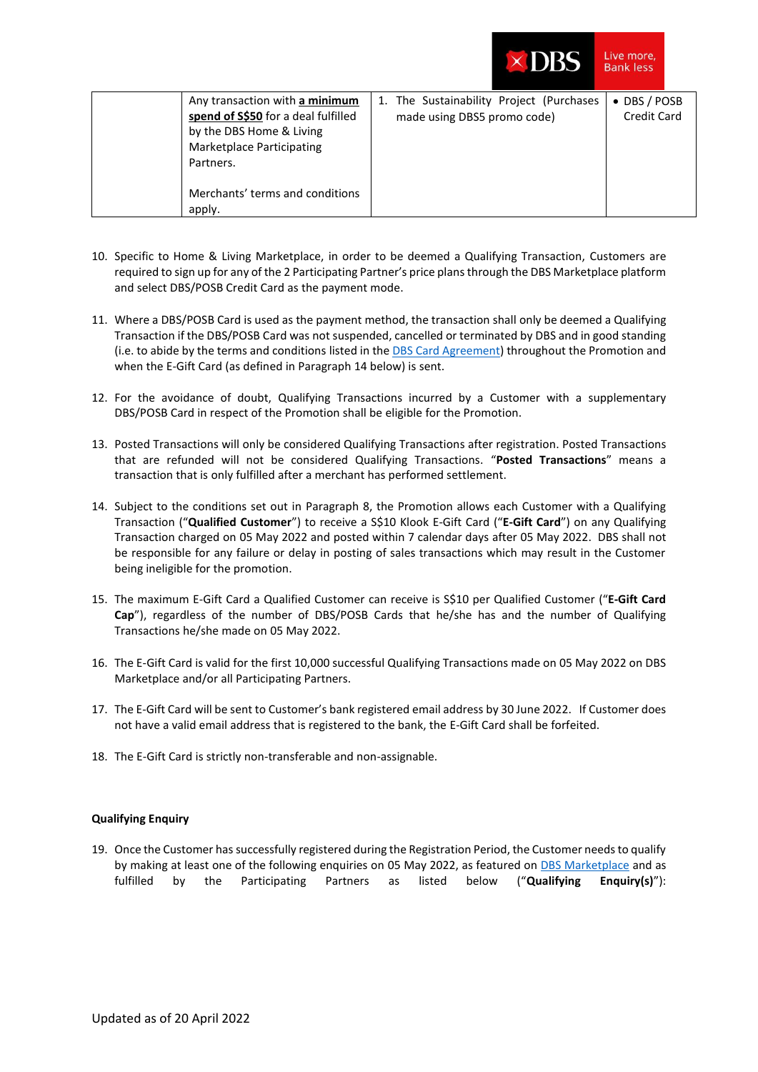|  | DBS |
|--|-----|
|  |     |
|  |     |

Live more, **Bank less** 

| Any transaction with a minimum      | 1. The Sustainability Project (Purchases | • DBS / POSB |  |
|-------------------------------------|------------------------------------------|--------------|--|
| spend of S\$50 for a deal fulfilled | made using DBS5 promo code)              | Credit Card  |  |
| by the DBS Home & Living            |                                          |              |  |
| <b>Marketplace Participating</b>    |                                          |              |  |
| Partners.                           |                                          |              |  |
|                                     |                                          |              |  |
| Merchants' terms and conditions     |                                          |              |  |
| apply.                              |                                          |              |  |

- 10. Specific to Home & Living Marketplace, in order to be deemed a Qualifying Transaction, Customers are required to sign up for any of the 2 Participating Partner's price plansthrough the DBS Marketplace platform and select DBS/POSB Credit Card as the payment mode.
- 11. Where a DBS/POSB Card is used as the payment method, the transaction shall only be deemed a Qualifying Transaction if the DBS/POSB Card was not suspended, cancelled or terminated by DBS and in good standing (i.e. to abide by the terms and conditions listed in th[e DBS Card Agreement\)](https://www.dbs.com.sg/iwov-resources/pdf/cards/dbs-agreement-2019.pdf) throughout the Promotion and when the E-Gift Card (as defined in Paragraph 14 below) is sent.
- 12. For the avoidance of doubt, Qualifying Transactions incurred by a Customer with a supplementary DBS/POSB Card in respect of the Promotion shall be eligible for the Promotion.
- 13. Posted Transactions will only be considered Qualifying Transactions after registration. Posted Transactions that are refunded will not be considered Qualifying Transactions. "**Posted Transactions**" means a transaction that is only fulfilled after a merchant has performed settlement.
- 14. Subject to the conditions set out in Paragraph 8, the Promotion allows each Customer with a Qualifying Transaction ("**Qualified Customer**") to receive a S\$10 Klook E-Gift Card ("**E-Gift Card**") on any Qualifying Transaction charged on 05 May 2022 and posted within 7 calendar days after 05 May 2022. DBS shall not be responsible for any failure or delay in posting of sales transactions which may result in the Customer being ineligible for the promotion.
- 15. The maximum E-Gift Card a Qualified Customer can receive is S\$10 per Qualified Customer ("**E-Gift Card Cap**"), regardless of the number of DBS/POSB Cards that he/she has and the number of Qualifying Transactions he/she made on 05 May 2022.
- 16. The E-Gift Card is valid for the first 10,000 successful Qualifying Transactions made on 05 May 2022 on DBS Marketplace and/or all Participating Partners.
- 17. The E-Gift Card will be sent to Customer's bank registered email address by 30 June 2022. If Customer does not have a valid email address that is registered to the bank, the E-Gift Card shall be forfeited.
- 18. The E-Gift Card is strictly non-transferable and non-assignable.

### **Qualifying Enquiry**

19. Once the Customer has successfully registered during the Registration Period, the Customer needs to qualify by making at least one of the following enquiries on 05 May 2022, as featured o[n DBS Marketplace](https://www.dbs.com.sg/personal/dbsmarketplacesextrabonusday.page?pid=sg-dbs-pweb-marketplace-extrabonusday-55-tncs-MPEBD) and as fulfilled by the Participating Partners as listed below ("**Qualifying Enquiry(s)**"):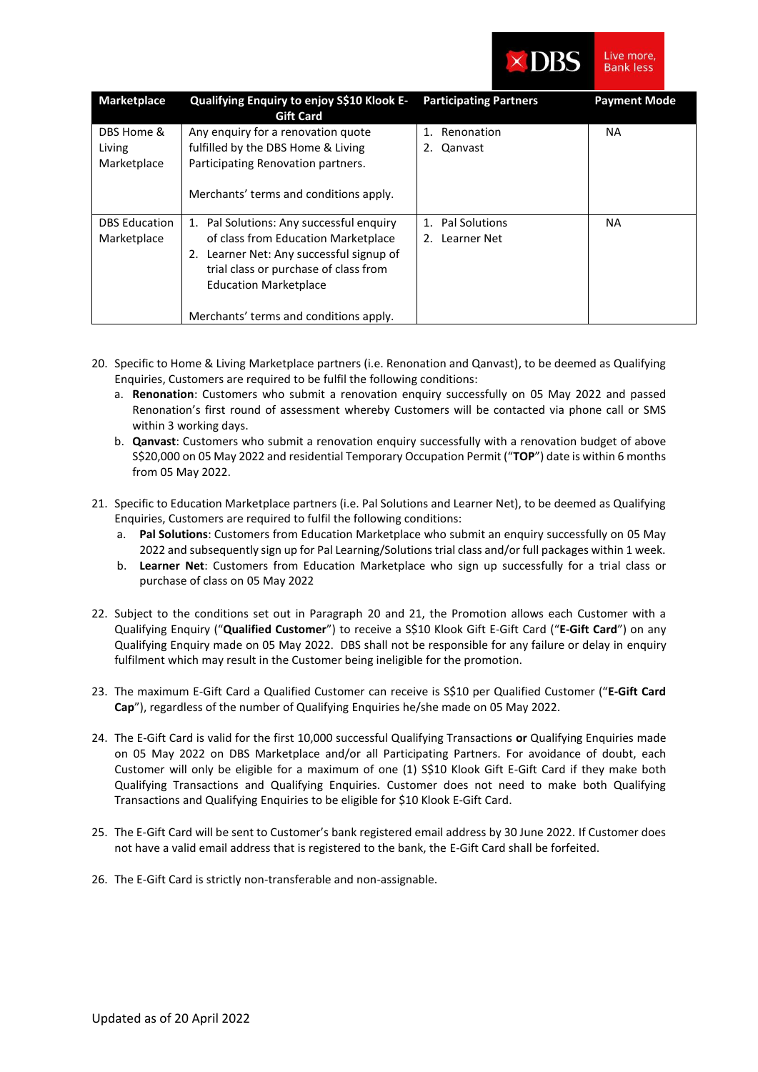

|  | ive more, |
|--|-----------|
|  | ank less  |

| <b>Marketplace</b>                  | Qualifying Enquiry to enjoy S\$10 Klook E-<br><b>Gift Card</b>                                                                                                                                                                                 | <b>Participating Partners</b>      | <b>Payment Mode</b> |
|-------------------------------------|------------------------------------------------------------------------------------------------------------------------------------------------------------------------------------------------------------------------------------------------|------------------------------------|---------------------|
| DBS Home &<br>Living<br>Marketplace | Any enquiry for a renovation quote<br>fulfilled by the DBS Home & Living<br>Participating Renovation partners.<br>Merchants' terms and conditions apply.                                                                                       | 1. Renonation<br>Qanvast<br>2.     | <b>NA</b>           |
| <b>DBS</b> Education<br>Marketplace | 1. Pal Solutions: Any successful enquiry<br>of class from Education Marketplace<br>2. Learner Net: Any successful signup of<br>trial class or purchase of class from<br><b>Education Marketplace</b><br>Merchants' terms and conditions apply. | 1. Pal Solutions<br>2. Learner Net | <b>NA</b>           |

- 20. Specific to Home & Living Marketplace partners (i.e. Renonation and Qanvast), to be deemed as Qualifying Enquiries, Customers are required to be fulfil the following conditions:
	- a. **Renonation**: Customers who submit a renovation enquiry successfully on 05 May 2022 and passed Renonation's first round of assessment whereby Customers will be contacted via phone call or SMS within 3 working days.
	- b. **Qanvast**: Customers who submit a renovation enquiry successfully with a renovation budget of above S\$20,000 on 05 May 2022 and residential Temporary Occupation Permit ("**TOP**") date is within 6 months from 05 May 2022.
- 21. Specific to Education Marketplace partners (i.e. Pal Solutions and Learner Net), to be deemed as Qualifying Enquiries, Customers are required to fulfil the following conditions:
	- a. **Pal Solutions**: Customers from Education Marketplace who submit an enquiry successfully on 05 May 2022 and subsequently sign up for Pal Learning/Solutions trial class and/or full packages within 1 week.
	- b. **Learner Net**: Customers from Education Marketplace who sign up successfully for a trial class or purchase of class on 05 May 2022
- 22. Subject to the conditions set out in Paragraph 20 and 21, the Promotion allows each Customer with a Qualifying Enquiry ("**Qualified Customer**") to receive a S\$10 Klook Gift E-Gift Card ("**E-Gift Card**") on any Qualifying Enquiry made on 05 May 2022. DBS shall not be responsible for any failure or delay in enquiry fulfilment which may result in the Customer being ineligible for the promotion.
- 23. The maximum E-Gift Card a Qualified Customer can receive is S\$10 per Qualified Customer ("**E-Gift Card Cap**"), regardless of the number of Qualifying Enquiries he/she made on 05 May 2022.
- 24. The E-Gift Card is valid for the first 10,000 successful Qualifying Transactions **or** Qualifying Enquiries made on 05 May 2022 on DBS Marketplace and/or all Participating Partners. For avoidance of doubt, each Customer will only be eligible for a maximum of one (1) S\$10 Klook Gift E-Gift Card if they make both Qualifying Transactions and Qualifying Enquiries. Customer does not need to make both Qualifying Transactions and Qualifying Enquiries to be eligible for \$10 Klook E-Gift Card.
- 25. The E-Gift Card will be sent to Customer's bank registered email address by 30 June 2022. If Customer does not have a valid email address that is registered to the bank, the E-Gift Card shall be forfeited.
- 26. The E-Gift Card is strictly non-transferable and non-assignable.